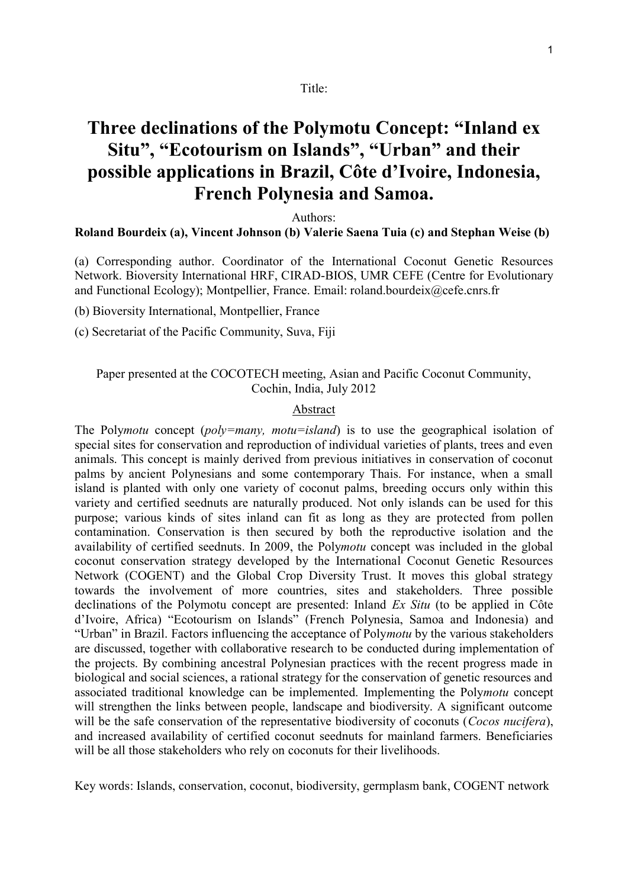#### Title:

# **Three declinations of the Polymotu Concept: "Inland ex Situ", "Ecotourism on Islands", "Urban" and their possible applications in Brazil, Côte d'Ivoire, Indonesia, French Polynesia and Samoa.**

Authors:

#### **Roland Bourdeix (a), Vincent Johnson (b) Valerie Saena Tuia (c) and Stephan Weise (b)**

(a) Corresponding author. Coordinator of the International Coconut Genetic Resources Network. Bioversity International HRF, CIRAD-BIOS, UMR CEFE (Centre for Evolutionary and Functional Ecology); Montpellier, France. Email: roland.bourdeix@cefe.cnrs.fr

(b) Bioversity International, Montpellier, France

(c) Secretariat of the Pacific Community, Suva, Fiji

### Paper presented at the COCOTECH meeting, Asian and Pacific Coconut Community, Cochin, India, July 2012

### Abstract

The Poly*motu* concept (*poly=many, motu=island*) is to use the geographical isolation of special sites for conservation and reproduction of individual varieties of plants, trees and even animals. This concept is mainly derived from previous initiatives in conservation of coconut palms by ancient Polynesians and some contemporary Thais. For instance, when a small island is planted with only one variety of coconut palms, breeding occurs only within this variety and certified seednuts are naturally produced. Not only islands can be used for this purpose; various kinds of sites inland can fit as long as they are protected from pollen contamination. Conservation is then secured by both the reproductive isolation and the availability of certified seednuts. In 2009, the Poly*motu* concept was included in the global coconut conservation strategy developed by the International Coconut Genetic Resources Network (COGENT) and the Global Crop Diversity Trust. It moves this global strategy towards the involvement of more countries, sites and stakeholders. Three possible declinations of the Polymotu concept are presented: Inland *Ex Situ* (to be applied in Côte d'Ivoire, Africa) "Ecotourism on Islands" (French Polynesia, Samoa and Indonesia) and "Urban" in Brazil. Factors influencing the acceptance of Poly*motu* by the various stakeholders are discussed, together with collaborative research to be conducted during implementation of the projects. By combining ancestral Polynesian practices with the recent progress made in biological and social sciences, a rational strategy for the conservation of genetic resources and associated traditional knowledge can be implemented. Implementing the Poly*motu* concept will strengthen the links between people, landscape and biodiversity. A significant outcome will be the safe conservation of the representative biodiversity of coconuts (*Cocos nucifera*), and increased availability of certified coconut seednuts for mainland farmers. Beneficiaries will be all those stakeholders who rely on coconuts for their livelihoods.

Key words: Islands, conservation, coconut, biodiversity, germplasm bank, COGENT network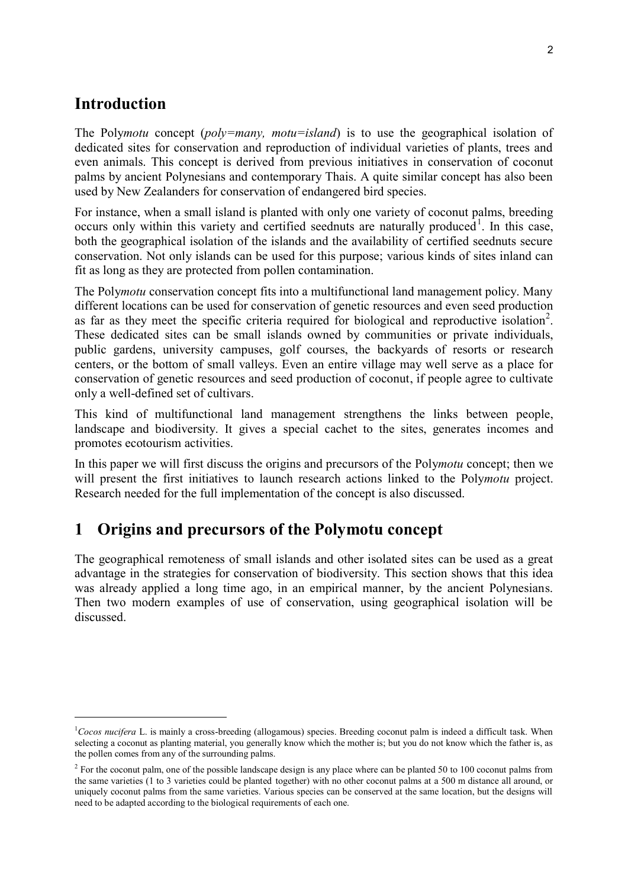### **Introduction**

 $\overline{a}$ 

The Poly*motu* concept (*poly=many, motu=island*) is to use the geographical isolation of dedicated sites for conservation and reproduction of individual varieties of plants, trees and even animals. This concept is derived from previous initiatives in conservation of coconut palms by ancient Polynesians and contemporary Thais. A quite similar concept has also been used by New Zealanders for conservation of endangered bird species.

For instance, when a small island is planted with only one variety of coconut palms, breeding occurs only within this variety and certified seednuts are naturally produced<sup>1</sup>. In this case, both the geographical isolation of the islands and the availability of certified seednuts secure conservation. Not only islands can be used for this purpose; various kinds of sites inland can fit as long as they are protected from pollen contamination.

The Poly*motu* conservation concept fits into a multifunctional land management policy. Many different locations can be used for conservation of genetic resources and even seed production as far as they meet the specific criteria required for biological and reproductive isolation<sup>2</sup>. These dedicated sites can be small islands owned by communities or private individuals, public gardens, university campuses, golf courses, the backyards of resorts or research centers, or the bottom of small valleys. Even an entire village may well serve as a place for conservation of genetic resources and seed production of coconut, if people agree to cultivate only a well-defined set of cultivars.

This kind of multifunctional land management strengthens the links between people, landscape and biodiversity. It gives a special cachet to the sites, generates incomes and promotes ecotourism activities.

In this paper we will first discuss the origins and precursors of the Poly*motu* concept; then we will present the first initiatives to launch research actions linked to the Poly*motu* project. Research needed for the full implementation of the concept is also discussed.

### **1 Origins and precursors of the Polymotu concept**

The geographical remoteness of small islands and other isolated sites can be used as a great advantage in the strategies for conservation of biodiversity. This section shows that this idea was already applied a long time ago, in an empirical manner, by the ancient Polynesians. Then two modern examples of use of conservation, using geographical isolation will be discussed.

<sup>&</sup>lt;sup>1</sup>Cocos nucifera L. is mainly a cross-breeding (allogamous) species. Breeding coconut palm is indeed a difficult task. When selecting a coconut as planting material, you generally know which the mother is; but you do not know which the father is, as the pollen comes from any of the surrounding palms.

<sup>&</sup>lt;sup>2</sup> For the coconut palm, one of the possible landscape design is any place where can be planted 50 to 100 coconut palms from the same varieties (1 to 3 varieties could be planted together) with no other coconut palms at a 500 m distance all around, or uniquely coconut palms from the same varieties. Various species can be conserved at the same location, but the designs will need to be adapted according to the biological requirements of each one.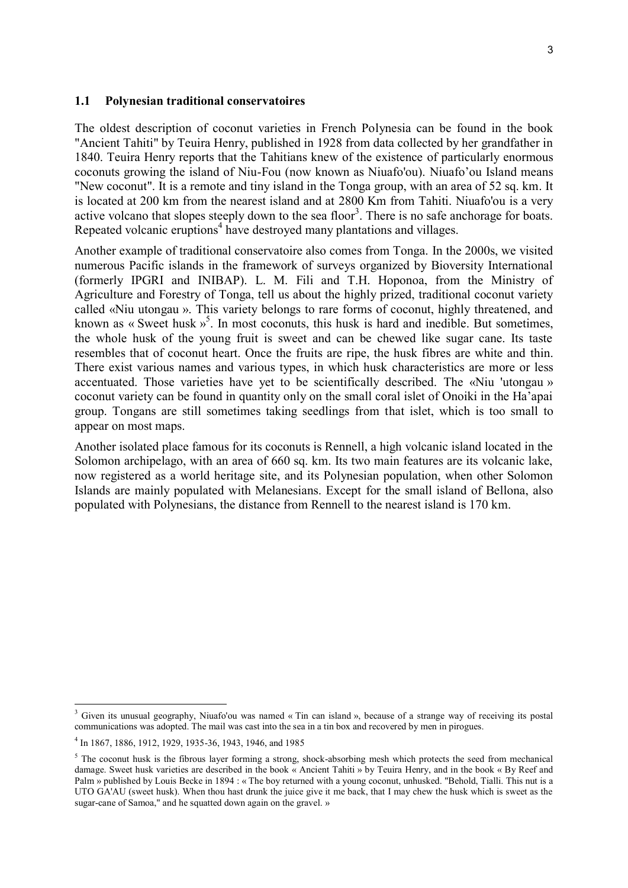#### **1.1 Polynesian traditional conservatoires**

The oldest description of coconut varieties in French Polynesia can be found in the book "Ancient Tahiti" by Teuira Henry, published in 1928 from data collected by her grandfather in 1840. Teuira Henry reports that the Tahitians knew of the existence of particularly enormous coconuts growing the island of Niu-Fou (now known as Niuafo'ou). Niuafo'ou Island means "New coconut". It is a remote and tiny island in the Tonga group, with an area of 52 sq. km. It is located at 200 km from the nearest island and at 2800 Km from Tahiti. Niuafo'ou is a very active volcano that slopes steeply down to the sea floor<sup>3</sup>. There is no safe anchorage for boats. Repeated volcanic eruptions<sup>4</sup> have destroyed many plantations and villages.

Another example of traditional conservatoire also comes from Tonga. In the 2000s, we visited numerous Pacific islands in the framework of surveys organized by Bioversity International (formerly IPGRI and INIBAP). L. M. Fili and T.H. Hoponoa, from the Ministry of Agriculture and Forestry of [Tonga,](http://hridir.org/countries/tonga/index.htm) tell us about the highly prized, traditional coconut variety called «Niu utongau ». This variety belongs to rare forms of coconut, highly threatened, and known as « Sweet husk »<sup>5</sup>. In most coconuts, this husk is hard and inedible. But sometimes, the whole husk of the young fruit is sweet and can be chewed like sugar cane. Its taste resembles that of coconut heart. Once the fruits are ripe, the husk fibres are white and thin. There exist various names and various types, in which husk characteristics are more or less accentuated. Those varieties have yet to be scientifically described. The «Niu 'utongau » coconut variety can be found in quantity only on the small coral islet of Onoiki in the Ha'apai group. Tongans are still sometimes taking seedlings from that islet, which is too small to appear on most maps.

Another isolated place famous for its coconuts is Rennell, a high volcanic island located in the Solomon archipelago, with an area of 660 sq. km. Its two main features are its volcanic lake, now registered as a world heritage site, and its Polynesian population, when other Solomon Islands are mainly populated with Melanesians. Except for the small island of Bellona, also populated with Polynesians, the distance from Rennell to the nearest island is 170 km.

<sup>&</sup>lt;sup>3</sup> Given its unusual geography, Niuafo'ou was named « Tin can island », because of a strange way of receiving its postal communications was adopted. The mail was cast into the sea in a tin box and recovered by men in pirogues.

<sup>4</sup> In 1867, 1886, 1912, 1929, 1935-36, 1943, 1946, and 1985

 $5$  The coconut husk is the fibrous layer forming a strong, shock-absorbing mesh which protects the seed from mechanical damage. Sweet husk varieties are described in the book « Ancient Tahiti » by Teuira Henry, and in the book « By Reef and Palm » published by Louis Becke in 1894 : « The boy returned with a young coconut, unhusked. "Behold, Tialli. This nut is a UTO GA'AU (sweet husk). When thou hast drunk the juice give it me back, that I may chew the husk which is sweet as the sugar-cane of Samoa," and he squatted down again on the gravel. »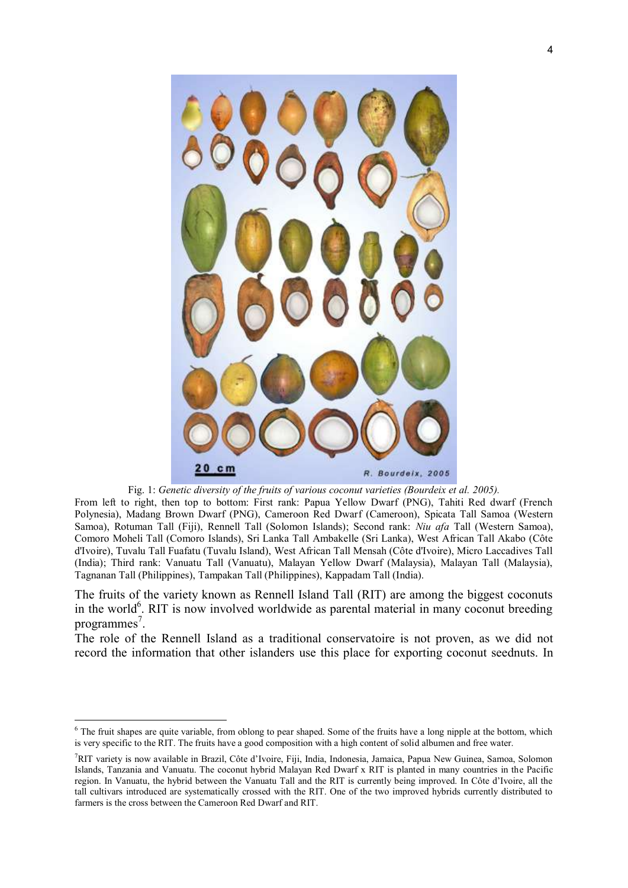

Fig. 1: *Genetic diversity of the fruits of various coconut varieties (Bourdeix et al. 2005).*

From left to right, then top to bottom: First rank: Papua Yellow Dwarf (PNG), Tahiti Red dwarf (French Polynesia), Madang Brown Dwarf (PNG), Cameroon Red Dwarf (Cameroon), Spicata Tall Samoa (Western Samoa), Rotuman Tall (Fiji), Rennell Tall (Solomon Islands); Second rank: *Niu afa* Tall (Western Samoa), Comoro Moheli Tall (Comoro Islands), Sri Lanka Tall Ambakelle (Sri Lanka), West African Tall Akabo (Côte d'Ivoire), Tuvalu Tall Fuafatu (Tuvalu Island), West African Tall Mensah (Côte d'Ivoire), Micro Laccadives Tall (India); Third rank: Vanuatu Tall (Vanuatu), Malayan Yellow Dwarf (Malaysia), Malayan Tall (Malaysia), Tagnanan Tall (Philippines), Tampakan Tall (Philippines), Kappadam Tall (India).

The fruits of the variety known as Rennell Island Tall (RIT) are among the biggest coconuts in the world $<sup>6</sup>$ . RIT is now involved worldwide as parental material in many coconut breeding</sup> programmes<sup>7</sup>.

The role of the Rennell Island as a traditional conservatoire is not proven, as we did not record the information that other islanders use this place for exporting coconut seednuts. In

 $6$  The fruit shapes are quite variable, from oblong to pear shaped. Some of the fruits have a long nipple at the bottom, which is very specific to the RIT. The fruits have a good composition with a high content of solid albumen and free water.

<sup>7</sup>RIT variety is now available in Brazil, Côte d'Ivoire, Fiji, India, Indonesia, Jamaica, Papua New Guinea, Samoa, Solomon Islands, Tanzania and Vanuatu. The coconut hybrid Malayan Red Dwarf x RIT is planted in many countries in the Pacific region. In Vanuatu, the hybrid between the Vanuatu Tall and the RIT is currently being improved. In Côte d'Ivoire, all the tall cultivars introduced are systematically crossed with the RIT. One of the two improved hybrids currently distributed to farmers is the cross between the Cameroon Red Dwarf and RIT.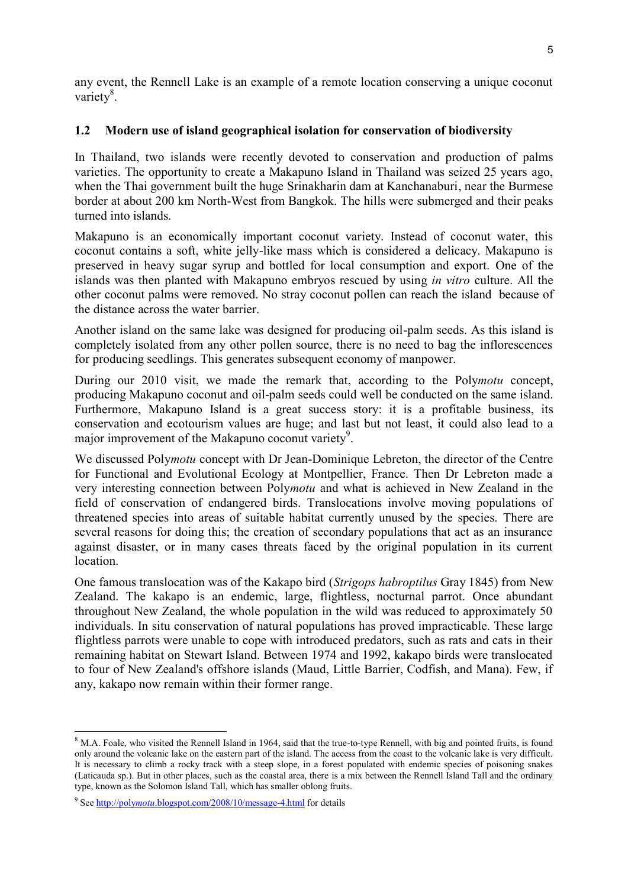any event, the Rennell Lake is an example of a remote location conserving a unique coconut variety<sup>8</sup>.

### **1.2 Modern use of island geographical isolation for conservation of biodiversity**

In Thailand, two islands were recently devoted to conservation and production of palms varieties. The opportunity to create a Makapuno Island in Thailand was seized 25 years ago, when the Thai government built the huge Srinakharin dam at Kanchanaburi, near the Burmese border at about 200 km North-West from Bangkok. The hills were submerged and their peaks turned into islands.

Makapuno is an economically important coconut variety. Instead of coconut water, this coconut contains a soft, white jelly-like mass which is considered a delicacy. Makapuno is preserved in heavy sugar syrup and bottled for local consumption and export. One of the islands was then planted with Makapuno embryos rescued by using *in vitro* culture. All the other coconut palms were removed. No stray coconut pollen can reach the island because of the distance across the water barrier.

Another island on the same lake was designed for producing oil-palm seeds. As this island is completely isolated from any other pollen source, there is no need to bag the inflorescences for producing seedlings. This generates subsequent economy of manpower.

During our 2010 visit, we made the remark that, according to the Poly*motu* concept, producing Makapuno coconut and oil-palm seeds could well be conducted on the same island. Furthermore, Makapuno Island is a great success story: it is a profitable business, its conservation and ecotourism values are huge; and last but not least, it could also lead to a major improvement of the Makapuno coconut variety<sup>9</sup>.

We discussed Poly*motu* concept with Dr Jean-Dominique Lebreton, the director of the Centre for Functional and Evolutional Ecology at Montpellier, France. Then Dr Lebreton made a very interesting connection between Poly*motu* and what is achieved in New Zealand in the field of conservation of endangered birds. Translocations involve moving populations of threatened species into areas of suitable habitat currently unused by the species. There are several reasons for doing this; the creation of secondary populations that act as an insurance against disaster, or in many cases threats faced by the original population in its current location.

One famous translocation was of the Kakapo bird (*Strigops habroptilus* Gray 1845) from New Zealand. The kakapo is an endemic, large, flightless, nocturnal parrot. Once abundant throughout New Zealand, the whole population in the wild was reduced to approximately 50 individuals. In situ conservation of natural populations has proved impracticable. These large flightless parrots were unable to cope with introduced predators, such as rats and cats in their remaining habitat on Stewart Island. Between 1974 and 1992, kakapo birds were translocated to four of New Zealand's offshore islands (Maud, Little Barrier, Codfish, and Mana). Few, if any, kakapo now remain within their former range.

<sup>&</sup>lt;sup>8</sup> M.A. Foale, who visited the Rennell Island in 1964, said that the true-to-type Rennell, with big and pointed fruits, is found only around the volcanic lake on the eastern part of the island. The access from the coast to the volcanic lake is very difficult. It is necessary to climb a rocky track with a steep slope, in a forest populated with endemic species of poisoning snakes (Laticauda sp.). But in other places, such as the coastal area, there is a mix between the Rennell Island Tall and the ordinary type, known as the Solomon Island Tall, which has smaller oblong fruits.

<sup>&</sup>lt;sup>9</sup> See http://polymotu[.blogspot.com/2008/10/message-4.html](http://polymotu.blogspot.com/2008/10/message-4.html) for details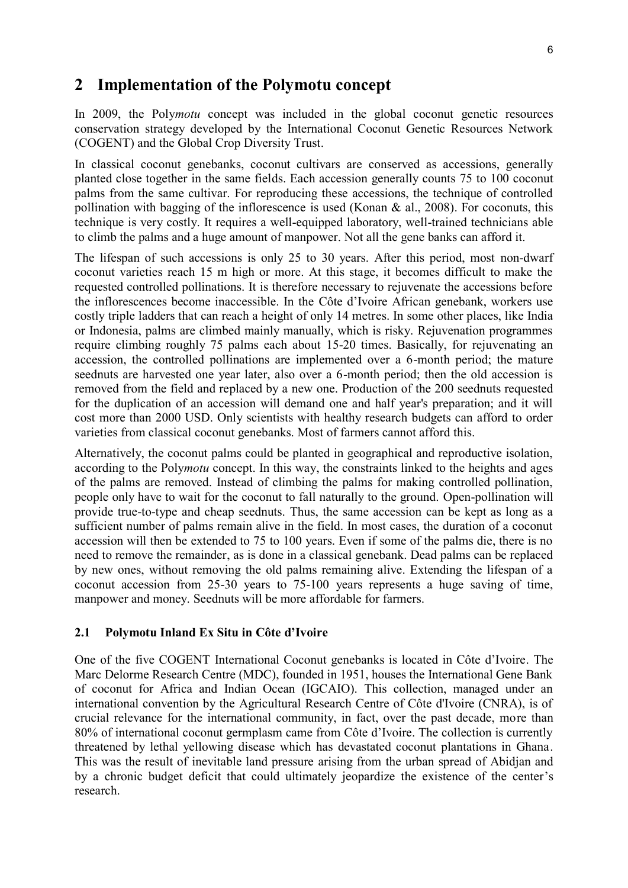### **2 Implementation of the Polymotu concept**

In 2009, the Poly*motu* concept was included in the global coconut genetic resources conservation strategy developed by the International Coconut Genetic Resources Network (COGENT) and the Global Crop Diversity Trust.

In classical coconut genebanks, coconut cultivars are conserved as accessions, generally planted close together in the same fields. Each accession generally counts 75 to 100 coconut palms from the same cultivar. For reproducing these accessions, the technique of controlled pollination with bagging of the inflorescence is used (Konan & al., 2008). For coconuts, this technique is very costly. It requires a well-equipped laboratory, well-trained technicians able to climb the palms and a huge amount of manpower. Not all the gene banks can afford it.

The lifespan of such accessions is only 25 to 30 years. After this period, most non-dwarf coconut varieties reach 15 m high or more. At this stage, it becomes difficult to make the requested controlled pollinations. It is therefore necessary to rejuvenate the accessions before the inflorescences become inaccessible. In the Côte d'Ivoire African genebank, workers use costly triple ladders that can reach a height of only 14 metres. In some other places, like India or Indonesia, palms are climbed mainly manually, which is risky. Rejuvenation programmes require climbing roughly 75 palms each about 15-20 times. Basically, for rejuvenating an accession, the controlled pollinations are implemented over a 6-month period; the mature seednuts are harvested one year later, also over a 6-month period; then the old accession is removed from the field and replaced by a new one. Production of the 200 seednuts requested for the duplication of an accession will demand one and half year's preparation; and it will cost more than 2000 USD. Only scientists with healthy research budgets can afford to order varieties from classical coconut genebanks. Most of farmers cannot afford this.

Alternatively, the coconut palms could be planted in geographical and reproductive isolation, according to the Poly*motu* concept. In this way, the constraints linked to the heights and ages of the palms are removed. Instead of climbing the palms for making controlled pollination, people only have to wait for the coconut to fall naturally to the ground. Open-pollination will provide true-to-type and cheap seednuts. Thus, the same accession can be kept as long as a sufficient number of palms remain alive in the field. In most cases, the duration of a coconut accession will then be extended to 75 to 100 years. Even if some of the palms die, there is no need to remove the remainder, as is done in a classical genebank. Dead palms can be replaced by new ones, without removing the old palms remaining alive. Extending the lifespan of a coconut accession from 25-30 years to 75-100 years represents a huge saving of time, manpower and money. Seednuts will be more affordable for farmers.

### **2.1 Polymotu Inland Ex Situ in Côte d'Ivoire**

One of the five COGENT International Coconut genebanks is located in Côte d'Ivoire. The Marc Delorme Research Centre (MDC), founded in 1951, houses the International Gene Bank of coconut for Africa and Indian Ocean (IGCAIO). This collection, managed under an international convention by the Agricultural Research Centre of Côte d'Ivoire (CNRA), is of crucial relevance for the international community, in fact, over the past decade, more than 80% of international coconut germplasm came from Côte d'Ivoire. The collection is currently threatened by lethal yellowing disease which has devastated coconut plantations in Ghana. This was the result of inevitable land pressure arising from the urban spread of Abidjan and by a chronic budget deficit that could ultimately jeopardize the existence of the center's research.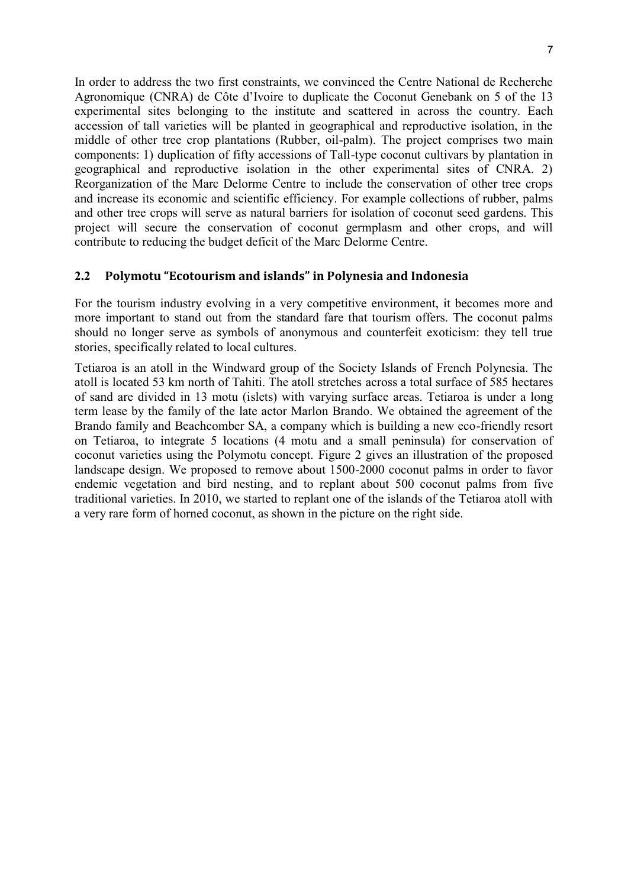In order to address the two first constraints, we convinced the Centre National de Recherche Agronomique (CNRA) de Côte d'Ivoire to duplicate the Coconut Genebank on 5 of the 13 experimental sites belonging to the institute and scattered in across the country. Each accession of tall varieties will be planted in geographical and reproductive isolation, in the middle of other tree crop plantations (Rubber, oil-palm). The project comprises two main components: 1) duplication of fifty accessions of Tall-type coconut cultivars by plantation in geographical and reproductive isolation in the other experimental sites of CNRA. 2) Reorganization of the Marc Delorme Centre to include the conservation of other tree crops and increase its economic and scientific efficiency. For example collections of rubber, palms and other tree crops will serve as natural barriers for isolation of coconut seed gardens. This project will secure the conservation of coconut germplasm and other crops, and will contribute to reducing the budget deficit of the Marc Delorme Centre.

### **2.2 Polymotu "Ecotourism and islands" in Polynesia and Indonesia**

For the tourism industry evolving in a very competitive environment, it becomes more and more important to stand out from the standard fare that tourism offers. The coconut palms should no longer serve as symbols of anonymous and counterfeit exoticism: they tell true stories, specifically related to local cultures.

Tetiaroa is an atoll in the Windward group of the Society Islands of French Polynesia. The atoll is located 53 km north of Tahiti. The atoll stretches across a total surface of 585 hectares of sand are divided in 13 motu (islets) with varying surface areas. Tetiaroa is under a long term lease by the family of the late actor Marlon Brando. We obtained the agreement of the Brando family and Beachcomber SA, a company which is building a new eco-friendly resort on Tetiaroa, to integrate 5 locations (4 motu and a small peninsula) for conservation of coconut varieties using the Polymotu concept. Figure 2 gives an illustration of the proposed landscape design. We proposed to remove about 1500-2000 coconut palms in order to favor endemic vegetation and bird nesting, and to replant about 500 coconut palms from five traditional varieties. In 2010, we started to replant one of the islands of the Tetiaroa atoll with a very rare form of horned coconut, as shown in the picture on the right side.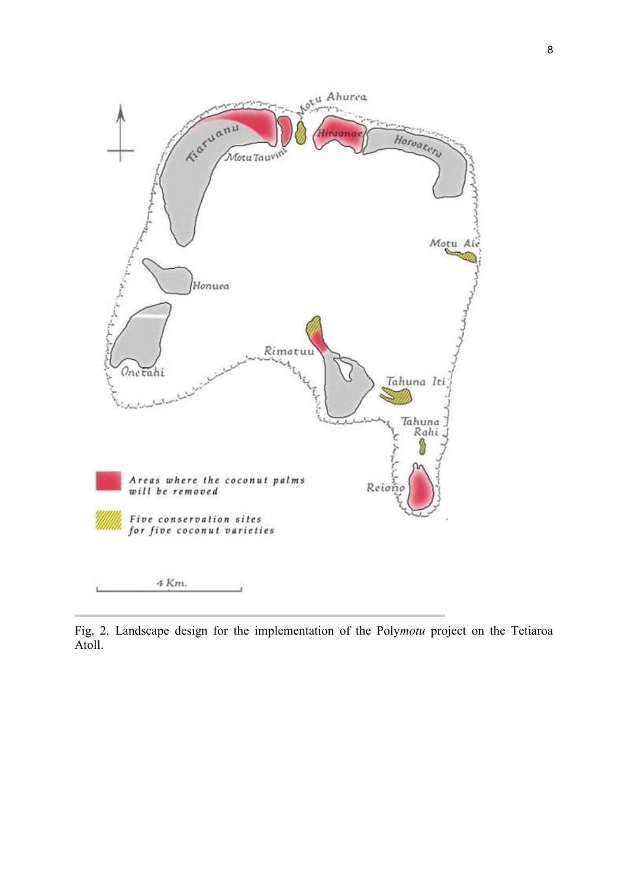

Fig. 2. Landscape design for the implementation of the Poly*motu* project on the Tetiaroa Atoll.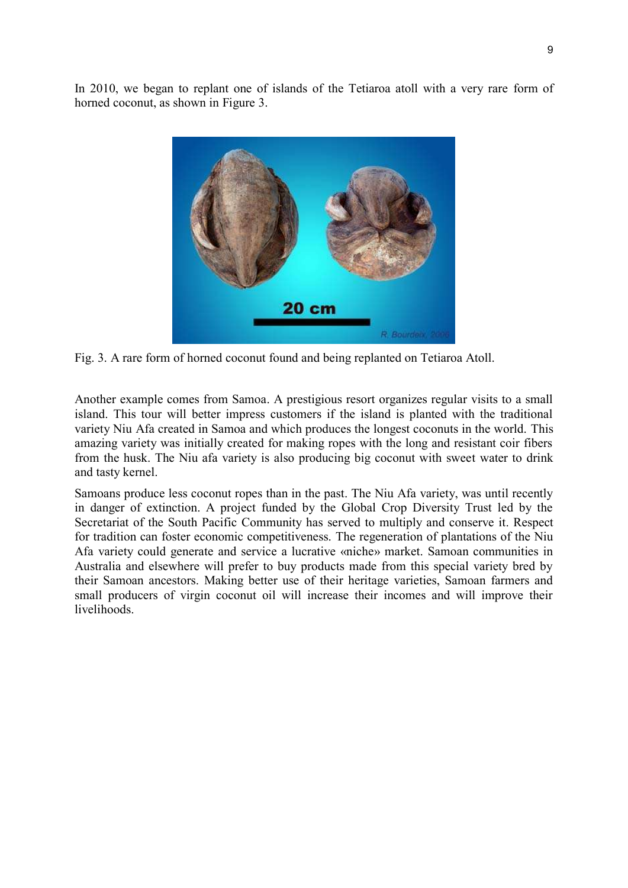In 2010, we began to replant one of islands of the Tetiaroa atoll with a very rare form of horned coconut, as shown in Figure 3.



Fig. 3. A rare form of horned coconut found and being replanted on Tetiaroa Atoll.

Another example comes from Samoa. A prestigious resort organizes regular visits to a small island. This tour will better impress customers if the island is planted with the traditional variety Niu Afa created in Samoa and which produces the longest coconuts in the world. This amazing variety was initially created for making ropes with the long and resistant coir fibers from the husk. The Niu afa variety is also producing big coconut with sweet water to drink and tasty kernel.

Samoans produce less coconut ropes than in the past. The Niu Afa variety, was until recently in danger of extinction. A project funded by the Global Crop Diversity Trust led by the Secretariat of the South Pacific Community has served to multiply and conserve it. Respect for tradition can foster economic competitiveness. The regeneration of plantations of the Niu Afa variety could generate and service a lucrative «niche» market. Samoan communities in Australia and elsewhere will prefer to buy products made from this special variety bred by their Samoan ancestors. Making better use of their heritage varieties, Samoan farmers and small producers of virgin coconut oil will increase their incomes and will improve their livelihoods.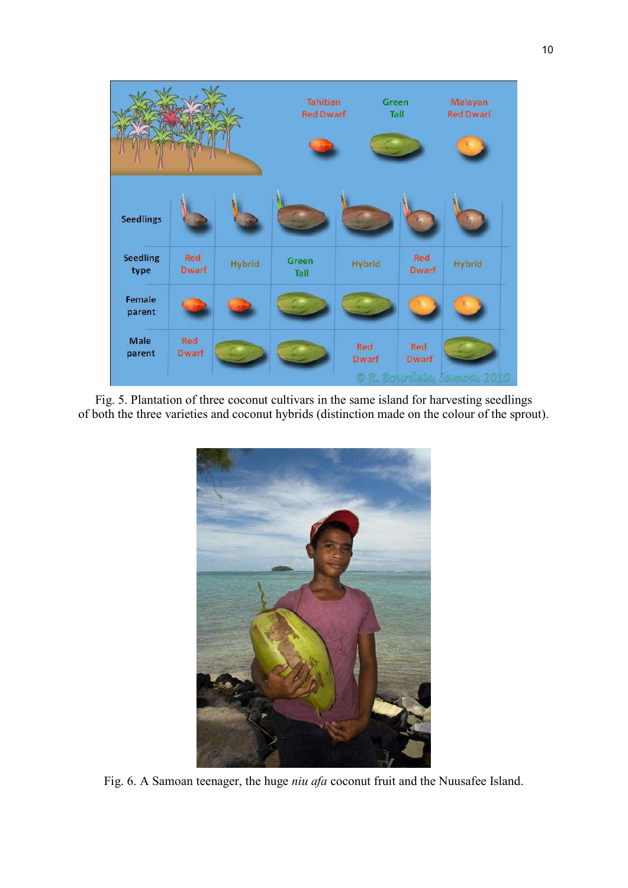

Fig. 5. Plantation of three coconut cultivars in the same island for harvesting seedlings of both the three varieties and coconut hybrids (distinction made on the colour of the sprout).



Fig. 6. A Samoan teenager, the huge *niu afa* coconut fruit and the Nuusafee Island.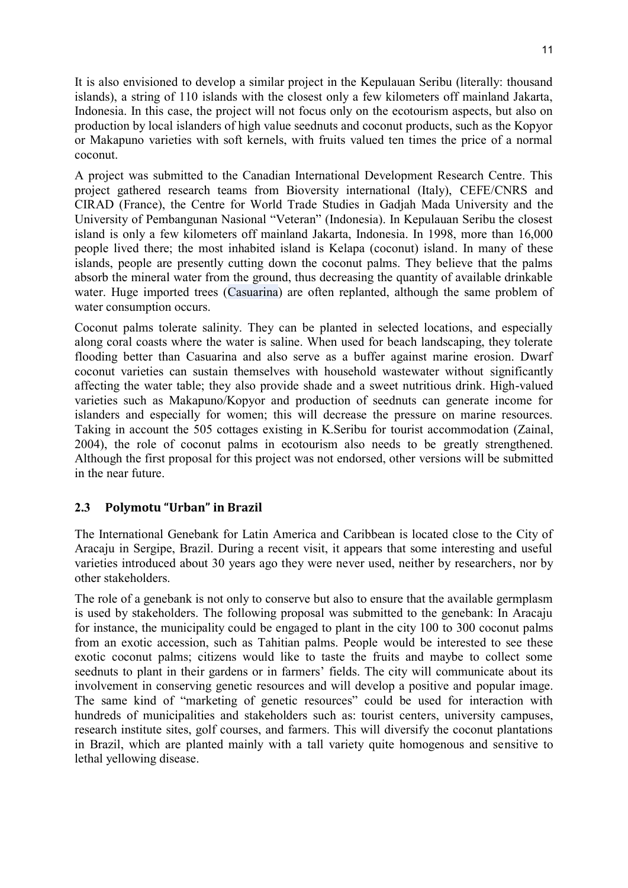It is also envisioned to develop a similar project in the Kepulauan Seribu (literally: thousand islands), a string of 110 islands with the closest only a few kilometers off mainland Jakarta, Indonesia. In this case, the project will not focus only on the ecotourism aspects, but also on production by local islanders of high value seednuts and coconut products, such as the Kopyor or Makapuno varieties with soft kernels, with fruits valued ten times the price of a normal coconut.

A project was submitted to the Canadian International Development Research Centre. This project gathered research teams from Bioversity international (Italy), CEFE/CNRS and CIRAD (France), the Centre for World Trade Studies in Gadjah Mada University and the University of Pembangunan Nasional "Veteran" (Indonesia). In Kepulauan Seribu the closest island is only a few kilometers off mainland Jakarta, Indonesia. In 1998, more than 16,000 people lived there; the most inhabited island is Kelapa (coconut) island. In many of these islands, people are presently cutting down the coconut palms. They believe that the palms absorb the mineral water from the ground, thus decreasing the quantity of available drinkable water. Huge imported trees (Casuarina) are often replanted, although the same problem of water consumption occurs.

Coconut palms tolerate salinity. They can be planted in selected locations, and especially along coral coasts where the water is saline. When used for beach landscaping, they tolerate flooding better than Casuarina and also serve as a buffer against marine erosion. Dwarf coconut varieties can sustain themselves with household wastewater without significantly affecting the water table; they also provide shade and a sweet nutritious drink. High-valued varieties such as Makapuno/Kopyor and production of seednuts can generate income for islanders and especially for women; this will decrease the pressure on marine resources. Taking in account the 505 cottages existing in K.Seribu for tourist accommodation (Zainal, 2004), the role of coconut palms in ecotourism also needs to be greatly strengthened. Although the first proposal for this project was not endorsed, other versions will be submitted in the near future.

### **2.3 Polymotu "Urban" in Brazil**

The International Genebank for Latin America and Caribbean is located close to the City of Aracaju in Sergipe, Brazil. During a recent visit, it appears that some interesting and useful varieties introduced about 30 years ago they were never used, neither by researchers, nor by other stakeholders.

The role of a genebank is not only to conserve but also to ensure that the available germplasm is used by stakeholders. The following proposal was submitted to the genebank: In Aracaju for instance, the municipality could be engaged to plant in the city 100 to 300 coconut palms from an exotic accession, such as Tahitian palms. People would be interested to see these exotic coconut palms; citizens would like to taste the fruits and maybe to collect some seednuts to plant in their gardens or in farmers' fields. The city will communicate about its involvement in conserving genetic resources and will develop a positive and popular image. The same kind of "marketing of genetic resources" could be used for interaction with hundreds of municipalities and stakeholders such as: tourist centers, university campuses, research institute sites, golf courses, and farmers. This will diversify the coconut plantations in Brazil, which are planted mainly with a tall variety quite homogenous and sensitive to lethal yellowing disease.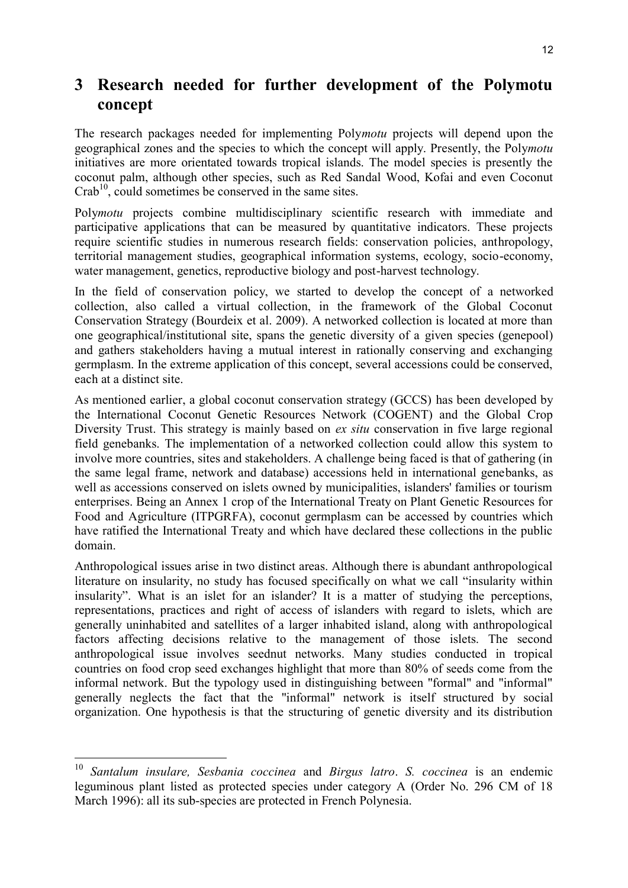## **3 Research needed for further development of the Polymotu concept**

The research packages needed for implementing Poly*motu* projects will depend upon the geographical zones and the species to which the concept will apply. Presently, the Poly*motu* initiatives are more orientated towards tropical islands. The model species is presently the coconut palm, although other species, such as Red Sandal Wood, Kofai and even Coconut  $Crab<sup>10</sup>$ , could sometimes be conserved in the same sites.

Poly*motu* projects combine multidisciplinary scientific research with immediate and participative applications that can be measured by quantitative indicators. These projects require scientific studies in numerous research fields: conservation policies, anthropology, territorial management studies, geographical information systems, ecology, socio-economy, water management, genetics, reproductive biology and post-harvest technology.

In the field of conservation policy, we started to develop the concept of a networked collection, also called a virtual collection, in the framework of the Global Coconut Conservation Strategy (Bourdeix et al. 2009). A networked collection is located at more than one geographical/institutional site, spans the genetic diversity of a given species (genepool) and gathers stakeholders having a mutual interest in rationally conserving and exchanging germplasm. In the extreme application of this concept, several accessions could be conserved, each at a distinct site.

As mentioned earlier, a global coconut conservation strategy (GCCS) has been developed by the International Coconut Genetic Resources Network (COGENT) and the Global Crop Diversity Trust. This strategy is mainly based on *ex situ* conservation in five large regional field genebanks. The implementation of a networked collection could allow this system to involve more countries, sites and stakeholders. A challenge being faced is that of gathering (in the same legal frame, network and database) accessions held in international genebanks, as well as accessions conserved on islets owned by municipalities, islanders' families or tourism enterprises. Being an Annex 1 crop of the International Treaty on Plant Genetic Resources for Food and Agriculture (ITPGRFA), coconut germplasm can be accessed by countries which have ratified the International Treaty and which have declared these collections in the public domain.

Anthropological issues arise in two distinct areas. Although there is abundant anthropological literature on insularity, no study has focused specifically on what we call "insularity within insularity". What is an islet for an islander? It is a matter of studying the perceptions, representations, practices and right of access of islanders with regard to islets, which are generally uninhabited and satellites of a larger inhabited island, along with anthropological factors affecting decisions relative to the management of those islets. The second anthropological issue involves seednut networks. Many studies conducted in tropical countries on food crop seed exchanges highlight that more than 80% of seeds come from the informal network. But the typology used in distinguishing between "formal" and "informal" generally neglects the fact that the "informal" network is itself structured by social organization. One hypothesis is that the structuring of genetic diversity and its distribution

<sup>10</sup> *Santalum insulare, Sesbania coccinea* and *Birgus latro*. *S. coccinea* is an endemic leguminous plant listed as protected species under category A (Order No. 296 CM of 18 March 1996): all its sub-species are protected in French Polynesia.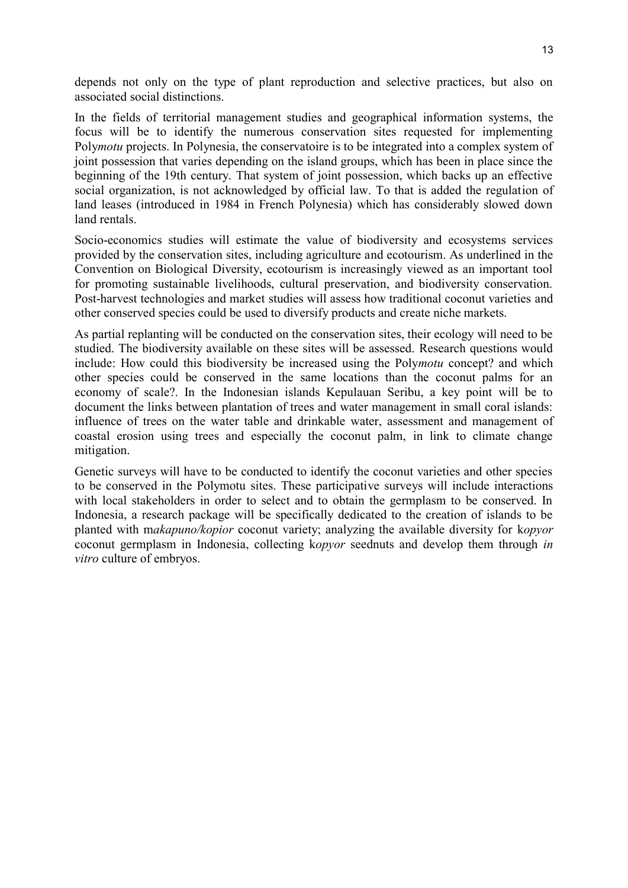depends not only on the type of plant reproduction and selective practices, but also on associated social distinctions.

In the fields of territorial management studies and geographical information systems, the focus will be to identify the numerous conservation sites requested for implementing Poly*motu* projects. In Polynesia, the conservatoire is to be integrated into a complex system of joint possession that varies depending on the island groups, which has been in place since the beginning of the 19th century. That system of joint possession, which backs up an effective social organization, is not acknowledged by official law. To that is added the regulation of land leases (introduced in 1984 in French Polynesia) which has considerably slowed down land rentals.

Socio-economics studies will estimate the value of biodiversity and ecosystems services provided by the conservation sites, including agriculture and ecotourism. As underlined in the Convention on Biological Diversity, ecotourism is increasingly viewed as an important tool for promoting sustainable livelihoods, cultural preservation, and biodiversity conservation. Post-harvest technologies and market studies will assess how traditional coconut varieties and other conserved species could be used to diversify products and create niche markets.

As partial replanting will be conducted on the conservation sites, their ecology will need to be studied. The biodiversity available on these sites will be assessed. Research questions would include: How could this biodiversity be increased using the Poly*motu* concept? and which other species could be conserved in the same locations than the coconut palms for an economy of scale?. In the Indonesian islands Kepulauan Seribu, a key point will be to document the links between plantation of trees and water management in small coral islands: influence of trees on the water table and drinkable water, assessment and management of coastal erosion using trees and especially the coconut palm, in link to climate change mitigation.

Genetic surveys will have to be conducted to identify the coconut varieties and other species to be conserved in the Polymotu sites. These participative surveys will include interactions with local stakeholders in order to select and to obtain the germplasm to be conserved. In Indonesia, a research package will be specifically dedicated to the creation of islands to be planted with m*akapuno/kopior* coconut variety; analyzing the available diversity for k*opyor* coconut germplasm in Indonesia, collecting k*opyor* seednuts and develop them through *in vitro* culture of embryos.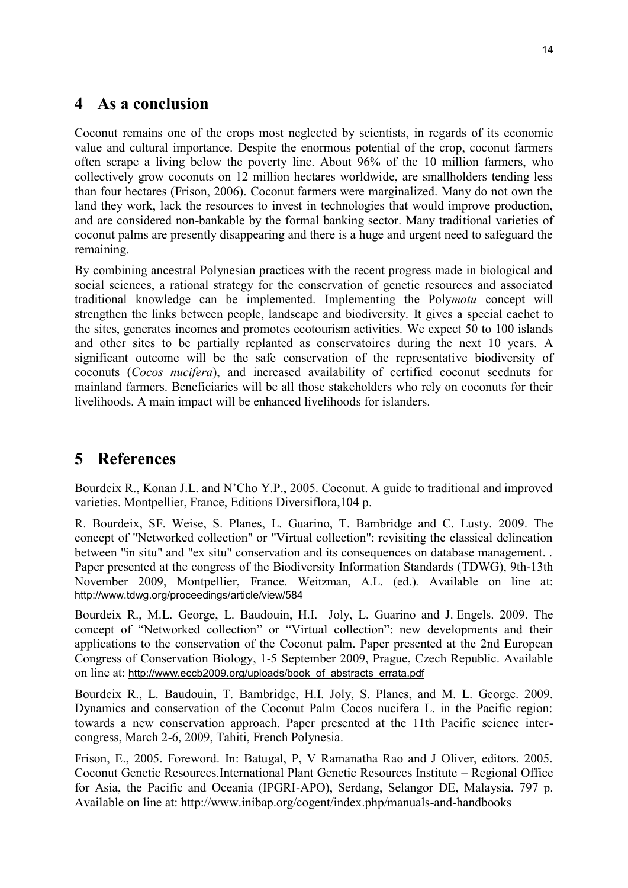### **4 As a conclusion**

Coconut remains one of the crops most neglected by scientists, in regards of its economic value and cultural importance. Despite the enormous potential of the crop, coconut farmers often scrape a living below the poverty line. About 96% of the 10 million farmers, who collectively grow coconuts on 12 million hectares worldwide, are smallholders tending less than four hectares (Frison, 2006). Coconut farmers were marginalized. Many do not own the land they work, lack the resources to invest in technologies that would improve production, and are considered non-bankable by the formal banking sector. Many traditional varieties of coconut palms are presently disappearing and there is a huge and urgent need to safeguard the remaining.

By combining ancestral Polynesian practices with the recent progress made in biological and social sciences, a rational strategy for the conservation of genetic resources and associated traditional knowledge can be implemented. Implementing the Poly*motu* concept will strengthen the links between people, landscape and biodiversity. It gives a special cachet to the sites, generates incomes and promotes ecotourism activities. We expect 50 to 100 islands and other sites to be partially replanted as conservatoires during the next 10 years. A significant outcome will be the safe conservation of the representative biodiversity of coconuts (*Cocos nucifera*), and increased availability of certified coconut seednuts for mainland farmers. Beneficiaries will be all those stakeholders who rely on coconuts for their livelihoods. A main impact will be enhanced livelihoods for islanders.

## **5 References**

Bourdeix R., Konan J.L. and N'Cho Y.P., 2005. Coconut. A guide to traditional and improved varieties. Montpellier, France, Editions Diversiflora,104 p.

R. Bourdeix, SF. Weise, S. Planes, L. Guarino, T. Bambridge and C. Lusty. 2009. The concept of "Networked collection" or "Virtual collection": revisiting the classical delineation between "in situ" and "ex situ" conservation and its consequences on database management. . Paper presented at the congress of the Biodiversity Information Standards (TDWG), 9th-13th November 2009, Montpellier, France. Weitzman, A.L. (ed.). Available on line at: <http://www.tdwg.org/proceedings/article/view/584>

Bourdeix R., M.L. George, L. Baudouin, H.I. Joly, L. Guarino and J. Engels. 2009. The concept of "Networked collection" or "Virtual collection": new developments and their applications to the conservation of the Coconut palm. Paper presented at the 2nd European Congress of Conservation Biology, 1-5 September 2009, Prague, Czech Republic. Available on line at: [http://www.eccb2009.org/uploads/book\\_of\\_abstracts\\_errata.pdf](http://www.eccb2009.org/uploads/book_of_abstracts_errata.pdf)

Bourdeix R., L. Baudouin, T. Bambridge, H.I. Joly, S. Planes, and M. L. George. 2009. Dynamics and conservation of the Coconut Palm Cocos nucifera L. in the Pacific region: towards a new conservation approach. Paper presented at the 11th Pacific science intercongress, March 2-6, 2009, Tahiti, French Polynesia.

Frison, E., 2005. Foreword. In: Batugal, P, V Ramanatha Rao and J Oliver, editors. 2005. Coconut Genetic Resources.International Plant Genetic Resources Institute – Regional Office for Asia, the Pacific and Oceania (IPGRI-APO), Serdang, Selangor DE, Malaysia. 797 p. Available on line at: http://www.inibap.org/cogent/index.php/manuals-and-handbooks